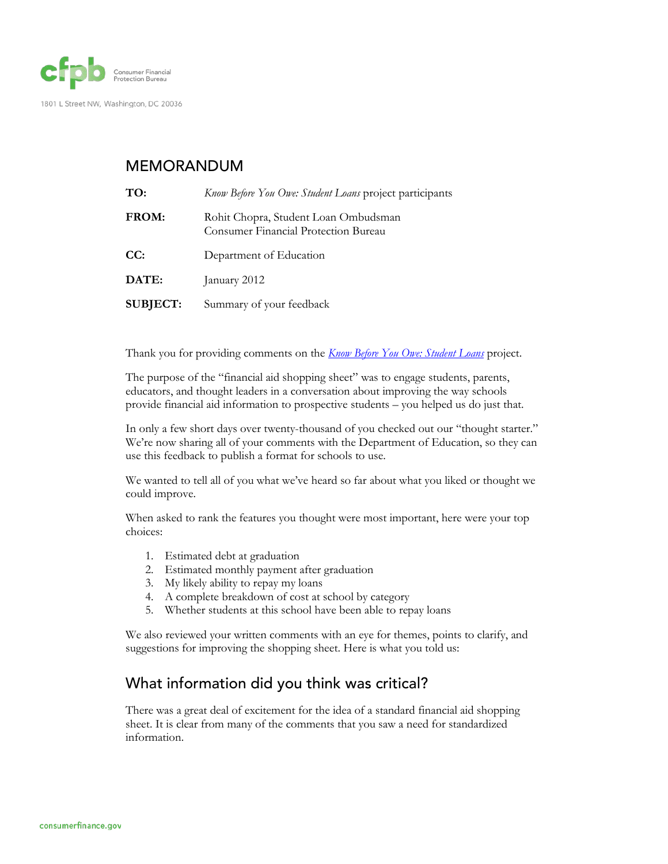

#### MEMORANDUM

| TO:             | Know Before You Owe: Student Loans project participants                             |
|-----------------|-------------------------------------------------------------------------------------|
| FROM:           | Rohit Chopra, Student Loan Ombudsman<br><b>Consumer Financial Protection Bureau</b> |
| CC:             | Department of Education                                                             |
| DATE:           | January 2012                                                                        |
| <b>SUBJECT:</b> | Summary of your feedback                                                            |

Thank you for providing comments on the *[Know Before You Owe: Student Loans](http://www.consumerfinance.gov/students/knowbeforeyouowe/)* project.

The purpose of the "financial aid shopping sheet" was to engage students, parents, educators, and thought leaders in a conversation about improving the way schools provide financial aid information to prospective students – you helped us do just that.

In only a few short days over twenty-thousand of you checked out our "thought starter." We're now sharing all of your comments with the Department of Education, so they can use this feedback to publish a format for schools to use.

We wanted to tell all of you what we've heard so far about what you liked or thought we could improve.

When asked to rank the features you thought were most important, here were your top choices:

- 1. Estimated debt at graduation
- 2. Estimated monthly payment after graduation
- 3. My likely ability to repay my loans
- 4. A complete breakdown of cost at school by category
- 5. Whether students at this school have been able to repay loans

We also reviewed your written comments with an eye for themes, points to clarify, and suggestions for improving the shopping sheet. Here is what you told us:

## What information did you think was critical?

There was a great deal of excitement for the idea of a standard financial aid shopping sheet. It is clear from many of the comments that you saw a need for standardized information.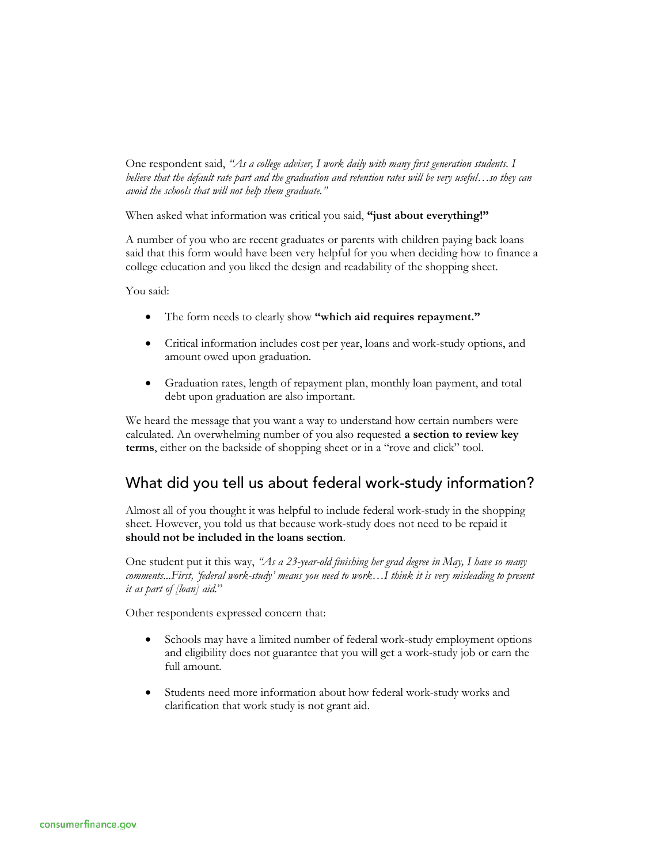One respondent said, *"As a college adviser, I work daily with many first generation students. I believe that the default rate part and the graduation and retention rates will be very useful…so they can avoid the schools that will not help them graduate."*

When asked what information was critical you said, **"just about everything!"**

A number of you who are recent graduates or parents with children paying back loans said that this form would have been very helpful for you when deciding how to finance a college education and you liked the design and readability of the shopping sheet.

You said:

- The form needs to clearly show **"which aid requires repayment."**
- Critical information includes cost per year, loans and work-study options, and amount owed upon graduation.
- Graduation rates, length of repayment plan, monthly loan payment, and total debt upon graduation are also important.

We heard the message that you want a way to understand how certain numbers were calculated. An overwhelming number of you also requested **a section to review key terms**, either on the backside of shopping sheet or in a "rove and click" tool.

## What did you tell us about federal work-study information?

Almost all of you thought it was helpful to include federal work-study in the shopping sheet. However, you told us that because work-study does not need to be repaid it **should not be included in the loans section**.

One student put it this way, *"As a 23-year-old finishing her grad degree in May, I have so many comments...First, 'federal work-study' means you need to work…I think it is very misleading to present it as part of [loan] aid.*"

Other respondents expressed concern that:

- Schools may have a limited number of federal work-study employment options and eligibility does not guarantee that you will get a work-study job or earn the full amount.
- Students need more information about how federal work-study works and clarification that work study is not grant aid.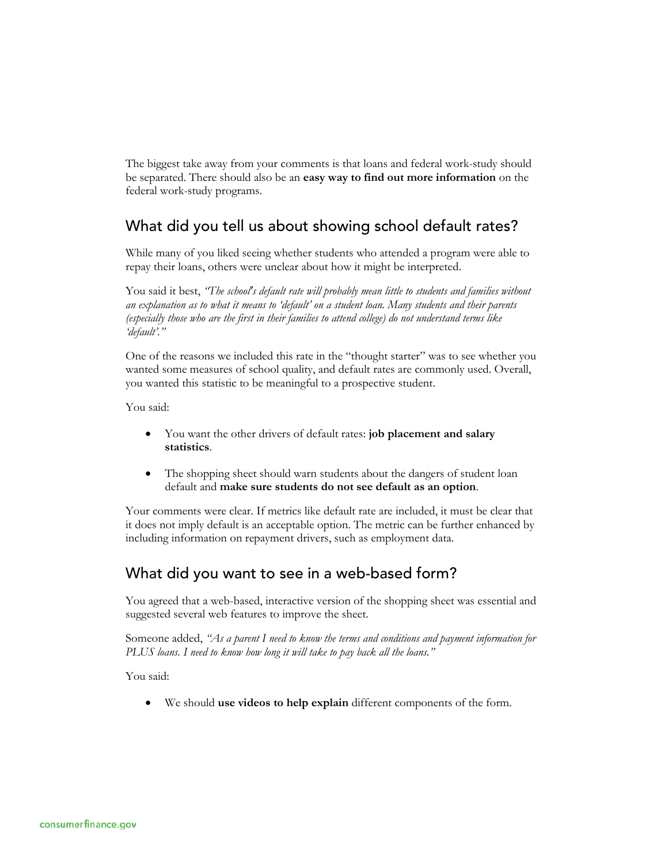The biggest take away from your comments is that loans and federal work-study should be separated. There should also be an **easy way to find out more information** on the federal work-study programs.

## What did you tell us about showing school default rates?

While many of you liked seeing whether students who attended a program were able to repay their loans, others were unclear about how it might be interpreted.

You said it best, *"The school's default rate will probably mean little to students and families without an explanation as to what it means to 'default' on a student loan. Many students and their parents (especially those who are the first in their families to attend college) do not understand terms like 'default'."*

One of the reasons we included this rate in the "thought starter" was to see whether you wanted some measures of school quality, and default rates are commonly used. Overall, you wanted this statistic to be meaningful to a prospective student.

You said:

- You want the other drivers of default rates: **job placement and salary statistics**.
- The shopping sheet should warn students about the dangers of student loan default and **make sure students do not see default as an option**.

Your comments were clear. If metrics like default rate are included, it must be clear that it does not imply default is an acceptable option. The metric can be further enhanced by including information on repayment drivers, such as employment data.

# What did you want to see in a web-based form?

You agreed that a web-based, interactive version of the shopping sheet was essential and suggested several web features to improve the sheet.

Someone added, *"As a parent I need to know the terms and conditions and payment information for PLUS loans. I need to know how long it will take to pay back all the loans."*

You said:

• We should **use videos to help explain** different components of the form.